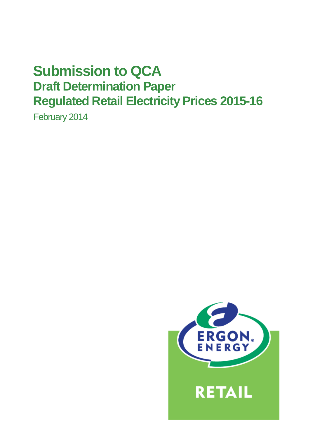# **Submission to QCA Draft Determination Paper Regulated Retail Electricity Prices 2015-16**

February 2014

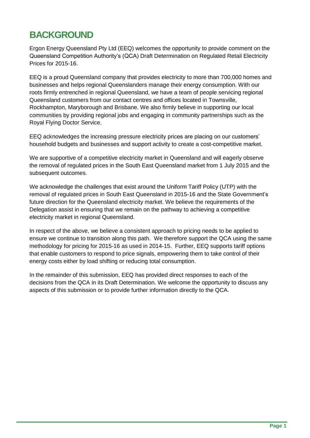# **BACKGROUND**

Ergon Energy Queensland Pty Ltd (EEQ) welcomes the opportunity to provide comment on the Queensland Competition Authority's (QCA) Draft Determination on Regulated Retail Electricity Prices for 2015-16.

EEQ is a proud Queensland company that provides electricity to more than 700,000 homes and businesses and helps regional Queenslanders manage their energy consumption. With our roots firmly entrenched in regional Queensland, we have a team of people servicing regional Queensland customers from our contact centres and offices located in Townsville, Rockhampton, Maryborough and Brisbane. We also firmly believe in supporting our local communities by providing regional jobs and engaging in community partnerships such as the Royal Flying Doctor Service.

EEQ acknowledges the increasing pressure electricity prices are placing on our customers' household budgets and businesses and support activity to create a cost-competitive market.

We are supportive of a competitive electricity market in Queensland and will eagerly observe the removal of regulated prices in the South East Queensland market from 1 July 2015 and the subsequent outcomes.

We acknowledge the challenges that exist around the Uniform Tariff Policy (UTP) with the removal of regulated prices in South East Queensland in 2015-16 and the State Government's future direction for the Queensland electricity market. We believe the requirements of the Delegation assist in ensuring that we remain on the pathway to achieving a competitive electricity market in regional Queensland.

In respect of the above, we believe a consistent approach to pricing needs to be applied to ensure we continue to transition along this path. We therefore support the QCA using the same methodology for pricing for 2015-16 as used in 2014-15. Further, EEQ supports tariff options that enable customers to respond to price signals, empowering them to take control of their energy costs either by load shifting or reducing total consumption.

In the remainder of this submission, EEQ has provided direct responses to each of the decisions from the QCA in its Draft Determination. We welcome the opportunity to discuss any aspects of this submission or to provide further information directly to the QCA.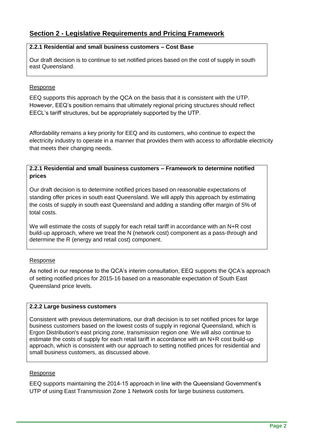# **Section 2 - Legislative Requirements and Pricing Framework**

# **2.2.1 Residential and small business customers – Cost Base**

Our draft decision is to continue to set notified prices based on the cost of supply in south east Queensland.

# Response

EEQ supports this approach by the QCA on the basis that it is consistent with the UTP. However, EEQ's position remains that ultimately regional pricing structures should reflect EECL's tariff structures, but be appropriately supported by the UTP.

Affordability remains a key priority for EEQ and its customers, who continue to expect the electricity industry to operate in a manner that provides them with access to affordable electricity that meets their changing needs.

# **2.2.1 Residential and small business customers – Framework to determine notified prices**

Our draft decision is to determine notified prices based on reasonable expectations of standing offer prices in south east Queensland. We will apply this approach by estimating the costs of supply in south east Queensland and adding a standing offer margin of 5% of total costs.

We will estimate the costs of supply for each retail tariff in accordance with an N+R cost build‐up approach, where we treat the N (network cost) component as a pass‐through and determine the R (energy and retail cost) component.

# Response

As noted in our response to the QCA's interim consultation, EEQ supports the QCA's approach of setting notified prices for 2015-16 based on a reasonable expectation of South East Queensland price levels.

#### **2.2.2 Large business customers**

Consistent with previous determinations, our draft decision is to set notified prices for large business customers based on the lowest costs of supply in regional Queensland, which is Ergon Distribution's east pricing zone, transmission region one. We will also continue to estimate the costs of supply for each retail tariff in accordance with an N+R cost build‐up approach, which is consistent with our approach to setting notified prices for residential and small business customers, as discussed above.

# Response

EEQ supports maintaining the 2014-15 approach in line with the Queensland Government's UTP of using East Transmission Zone 1 Network costs for large business customers.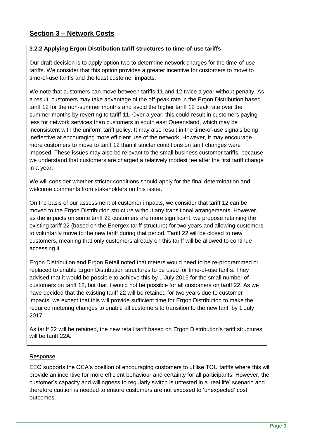# **Section 3 – Network Costs**

# **3.2.2 Applying Ergon Distribution tariff structures to time-of-use tariffs**

Our draft decision is to apply option two to determine network charges for the time‐of‐use tariffs. We consider that this option provides a greater incentive for customers to move to time‐of‐use tariffs and the least customer impacts.

We note that customers can move between tariffs 11 and 12 twice a year without penalty. As a result, customers may take advantage of the off‐peak rate in the Ergon Distribution based tariff 12 for the non‐summer months and avoid the higher tariff 12 peak rate over the summer months by reverting to tariff 11. Over a year, this could result in customers paying less for network services than customers in south east Queensland, which may be inconsistent with the uniform tariff policy. It may also result in the time‐of‐use signals being ineffective at encouraging more efficient use of the network. However, it may encourage more customers to move to tariff 12 than if stricter conditions on tariff changes were imposed. These issues may also be relevant to the small business customer tariffs, because we understand that customers are charged a relatively modest fee after the first tariff change in a year.

We will consider whether stricter conditions should apply for the final determination and welcome comments from stakeholders on this issue.

On the basis of our assessment of customer impacts, we consider that tariff 12 can be moved to the Ergon Distribution structure without any transitional arrangements. However, as the impacts on some tariff 22 customers are more significant, we propose retaining the existing tariff 22 (based on the Energex tariff structure) for two years and allowing customers to voluntarily move to the new tariff during that period. Tariff 22 will be closed to new customers, meaning that only customers already on this tariff will be allowed to continue accessing it.

Ergon Distribution and Ergon Retail noted that meters would need to be re‐programmed or replaced to enable Ergon Distribution structures to be used for time‐of‐use tariffs. They advised that it would be possible to achieve this by 1 July 2015 for the small number of customers on tariff 12, but that it would not be possible for all customers on tariff 22. As we have decided that the existing tariff 22 will be retained for two years due to customer impacts, we expect that this will provide sufficient time for Ergon Distribution to make the required metering changes to enable all customers to transition to the new tariff by 1 July 2017.

As tariff 22 will be retained, the new retail tariff based on Ergon Distribution's tariff structures will be tariff 22A.

# Response

EEQ supports the QCA's position of encouraging customers to utilise TOU tariffs where this will provide an incentive for more efficient behaviour and certainty for all participants. However, the customer's capacity and willingness to regularly switch is untested in a 'real life' scenario and therefore caution is needed to ensure customers are not exposed to 'unexpected' cost outcomes.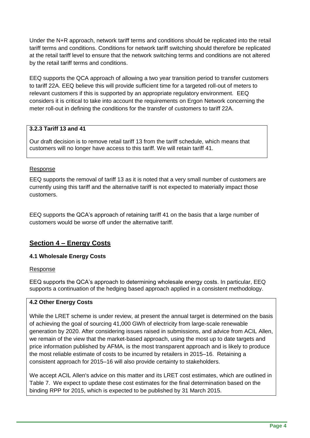Under the N+R approach, network tariff terms and conditions should be replicated into the retail tariff terms and conditions. Conditions for network tariff switching should therefore be replicated at the retail tariff level to ensure that the network switching terms and conditions are not altered by the retail tariff terms and conditions.

EEQ supports the QCA approach of allowing a two year transition period to transfer customers to tariff 22A. EEQ believe this will provide sufficient time for a targeted roll-out of meters to relevant customers if this is supported by an appropriate regulatory environment. EEQ considers it is critical to take into account the requirements on Ergon Network concerning the meter roll-out in defining the conditions for the transfer of customers to tariff 22A.

# **3.2.3 Tariff 13 and 41**

Our draft decision is to remove retail tariff 13 from the tariff schedule, which means that customers will no longer have access to this tariff. We will retain tariff 41.

# Response

EEQ supports the removal of tariff 13 as it is noted that a very small number of customers are currently using this tariff and the alternative tariff is not expected to materially impact those customers.

EEQ supports the QCA's approach of retaining tariff 41 on the basis that a large number of customers would be worse off under the alternative tariff.

# **Section 4 – Energy Costs**

#### **4.1 Wholesale Energy Costs**

#### Response

EEQ supports the QCA's approach to determining wholesale energy costs. In particular, EEQ supports a continuation of the hedging based approach applied in a consistent methodology.

# **4.2 Other Energy Costs**

While the LRET scheme is under review, at present the annual target is determined on the basis of achieving the goal of sourcing 41,000 GWh of electricity from large‐scale renewable generation by 2020. After considering issues raised in submissions, and advice from ACIL Allen, we remain of the view that the market-based approach, using the most up to date targets and price information published by AFMA, is the most transparent approach and is likely to produce the most reliable estimate of costs to be incurred by retailers in 2015–16. Retaining a consistent approach for 2015–16 will also provide certainty to stakeholders.

We accept ACIL Allen's advice on this matter and its LRET cost estimates, which are outlined in Table 7. We expect to update these cost estimates for the final determination based on the binding RPP for 2015, which is expected to be published by 31 March 2015.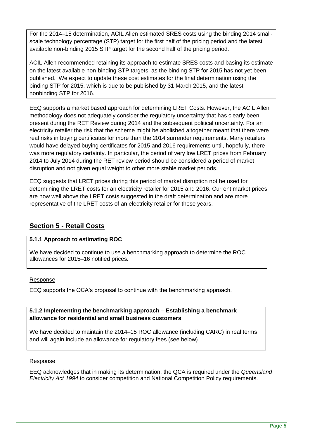For the 2014–15 determination, ACIL Allen estimated SRES costs using the binding 2014 small‐ scale technology percentage (STP) target for the first half of the pricing period and the latest available non‐binding 2015 STP target for the second half of the pricing period.

ACIL Allen recommended retaining its approach to estimate SRES costs and basing its estimate on the latest available non‐binding STP targets, as the binding STP for 2015 has not yet been published. We expect to update these cost estimates for the final determination using the binding STP for 2015, which is due to be published by 31 March 2015, and the latest nonbinding STP for 2016.

EEQ supports a market based approach for determining LRET Costs. However, the ACIL Allen methodology does not adequately consider the regulatory uncertainty that has clearly been present during the RET Review during 2014 and the subsequent political uncertainty. For an electricity retailer the risk that the scheme might be abolished altogether meant that there were real risks in buying certificates for more than the 2014 surrender requirements. Many retailers would have delayed buying certificates for 2015 and 2016 requirements until, hopefully, there was more regulatory certainty. In particular, the period of very low LRET prices from February 2014 to July 2014 during the RET review period should be considered a period of market disruption and not given equal weight to other more stable market periods.

EEQ suggests that LRET prices during this period of market disruption not be used for determining the LRET costs for an electricity retailer for 2015 and 2016. Current market prices are now well above the LRET costs suggested in the draft determination and are more representative of the LRET costs of an electricity retailer for these years.

# **Section 5 - Retail Costs**

# **5.1.1 Approach to estimating ROC**

We have decided to continue to use a benchmarking approach to determine the ROC allowances for 2015–16 notified prices.

# Response

EEQ supports the QCA's proposal to continue with the benchmarking approach.

# **5.1.2 Implementing the benchmarking approach – Establishing a benchmark allowance for residential and small business customers**

We have decided to maintain the 2014–15 ROC allowance (including CARC) in real terms and will again include an allowance for regulatory fees (see below).

# Response

EEQ acknowledges that in making its determination, the QCA is required under the *Queensland Electricity Act 1994* to consider competition and National Competition Policy requirements.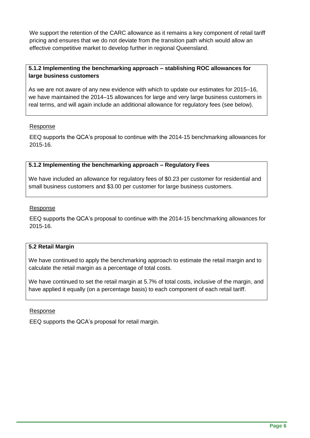We support the retention of the CARC allowance as it remains a key component of retail tariff pricing and ensures that we do not deviate from the transition path which would allow an effective competitive market to develop further in regional Queensland.

# **5.1.2 Implementing the benchmarking approach – stablishing ROC allowances for large business customers**

As we are not aware of any new evidence with which to update our estimates for 2015–16, we have maintained the 2014–15 allowances for large and very large business customers in real terms, and will again include an additional allowance for regulatory fees (see below).

# Response

EEQ supports the QCA's proposal to continue with the 2014-15 benchmarking allowances for 2015-16.

# **5.1.2 Implementing the benchmarking approach – Regulatory Fees**

We have included an allowance for regulatory fees of \$0.23 per customer for residential and small business customers and \$3.00 per customer for large business customers.

#### Response

EEQ supports the QCA's proposal to continue with the 2014-15 benchmarking allowances for 2015-16.

# **5.2 Retail Margin**

We have continued to apply the benchmarking approach to estimate the retail margin and to calculate the retail margin as a percentage of total costs.

We have continued to set the retail margin at 5.7% of total costs, inclusive of the margin, and have applied it equally (on a percentage basis) to each component of each retail tariff.

#### Response

EEQ supports the QCA's proposal for retail margin.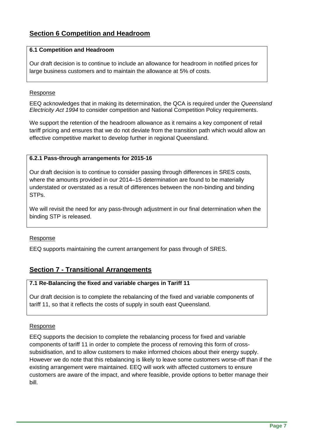# **Section 6 Competition and Headroom**

# **6.1 Competition and Headroom**

Our draft decision is to continue to include an allowance for headroom in notified prices for large business customers and to maintain the allowance at 5% of costs.

### Response

EEQ acknowledges that in making its determination, the QCA is required under the *Queensland Electricity Act 1994* to consider competition and National Competition Policy requirements.

We support the retention of the headroom allowance as it remains a key component of retail tariff pricing and ensures that we do not deviate from the transition path which would allow an effective competitive market to develop further in regional Queensland.

# **6.2.1 Pass-through arrangements for 2015-16**

Our draft decision is to continue to consider passing through differences in SRES costs, where the amounts provided in our 2014–15 determination are found to be materially understated or overstated as a result of differences between the non‐binding and binding STPs.

We will revisit the need for any pass-through adjustment in our final determination when the binding STP is released.

#### Response

EEQ supports maintaining the current arrangement for pass through of SRES.

# **Section 7 - Transitional Arrangements**

# **7.1 Re-Balancing the fixed and variable charges in Tariff 11**

Our draft decision is to complete the rebalancing of the fixed and variable components of tariff 11, so that it reflects the costs of supply in south east Queensland.

#### Response

EEQ supports the decision to complete the rebalancing process for fixed and variable components of tariff 11 in order to complete the process of removing this form of crosssubsidisation, and to allow customers to make informed choices about their energy supply. However we do note that this rebalancing is likely to leave some customers worse-off than if the existing arrangement were maintained. EEQ will work with affected customers to ensure customers are aware of the impact, and where feasible, provide options to better manage their bill.